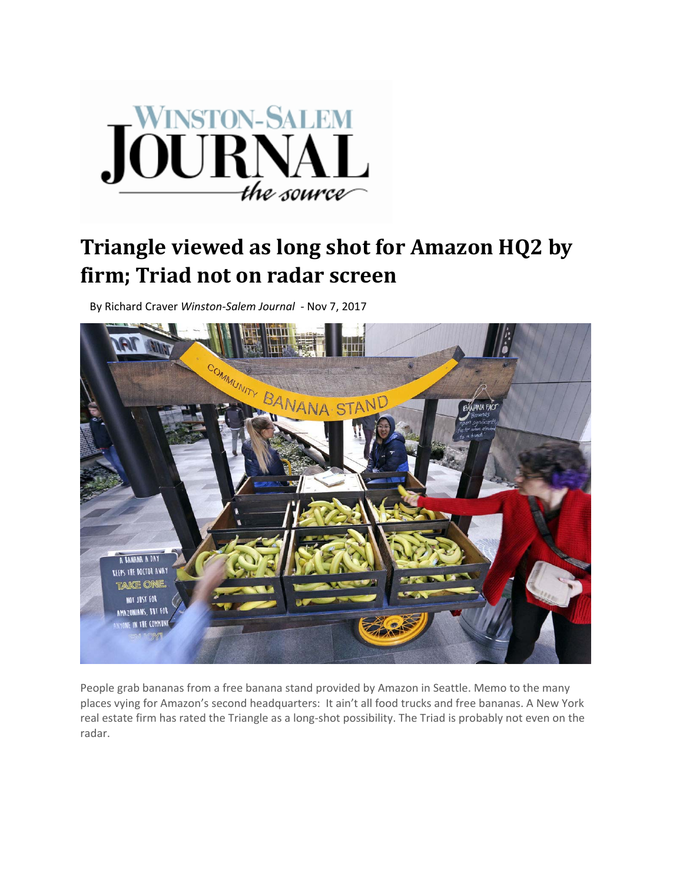

## **Triangle viewed as long shot for Amazon HQ2 by firm; Triad not on radar screen**

By Richard Craver *Winston‐Salem Journal ‐* Nov 7, 2017



People grab bananas from a free banana stand provided by Amazon in Seattle. Memo to the many places vying for Amazon's second headquarters: It ain't all food trucks and free bananas. A New York real estate firm has rated the Triangle as a long-shot possibility. The Triad is probably not even on the radar.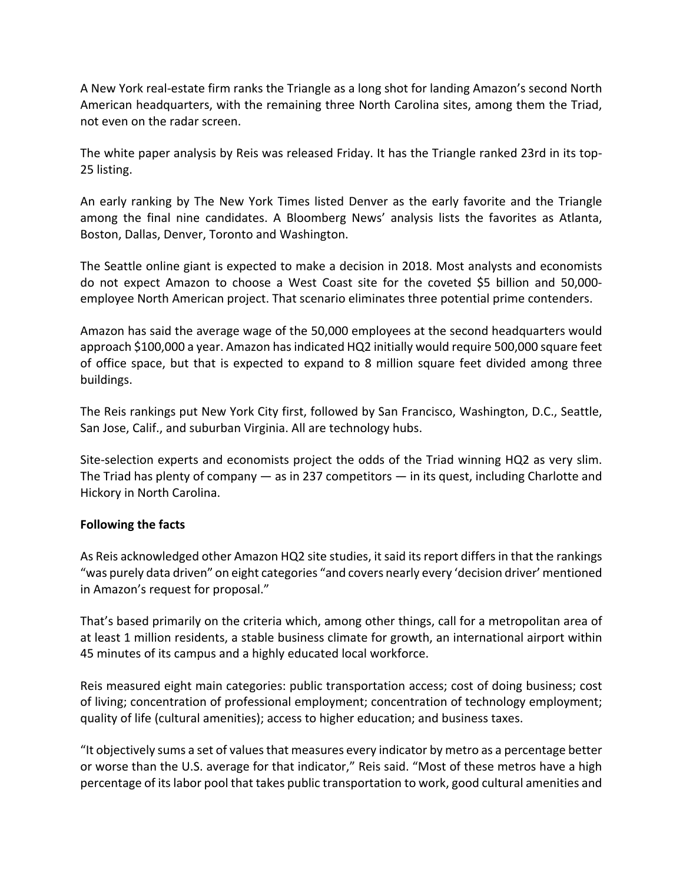A New York real‐estate firm ranks the Triangle as a long shot for landing Amazon's second North American headquarters, with the remaining three North Carolina sites, among them the Triad, not even on the radar screen.

The white paper analysis by Reis was released Friday. It has the Triangle ranked 23rd in its top‐ 25 listing.

An early ranking by The New York Times listed Denver as the early favorite and the Triangle among the final nine candidates. A Bloomberg News' analysis lists the favorites as Atlanta, Boston, Dallas, Denver, Toronto and Washington.

The Seattle online giant is expected to make a decision in 2018. Most analysts and economists do not expect Amazon to choose a West Coast site for the coveted \$5 billion and 50,000‐ employee North American project. That scenario eliminates three potential prime contenders.

Amazon has said the average wage of the 50,000 employees at the second headquarters would approach \$100,000 a year. Amazon hasindicated HQ2 initially would require 500,000 square feet of office space, but that is expected to expand to 8 million square feet divided among three buildings.

The Reis rankings put New York City first, followed by San Francisco, Washington, D.C., Seattle, San Jose, Calif., and suburban Virginia. All are technology hubs.

Site-selection experts and economists project the odds of the Triad winning HQ2 as very slim. The Triad has plenty of company — as in 237 competitors — in its quest, including Charlotte and Hickory in North Carolina.

## **Following the facts**

As Reis acknowledged other Amazon HQ2 site studies, it said its report differs in that the rankings "was purely data driven" on eight categories "and covers nearly every 'decision driver' mentioned in Amazon's request for proposal."

That's based primarily on the criteria which, among other things, call for a metropolitan area of at least 1 million residents, a stable business climate for growth, an international airport within 45 minutes of its campus and a highly educated local workforce.

Reis measured eight main categories: public transportation access; cost of doing business; cost of living; concentration of professional employment; concentration of technology employment; quality of life (cultural amenities); access to higher education; and business taxes.

"It objectively sums a set of valuesthat measures every indicator by metro as a percentage better or worse than the U.S. average for that indicator," Reis said. "Most of these metros have a high percentage of itslabor pool that takes public transportation to work, good cultural amenities and